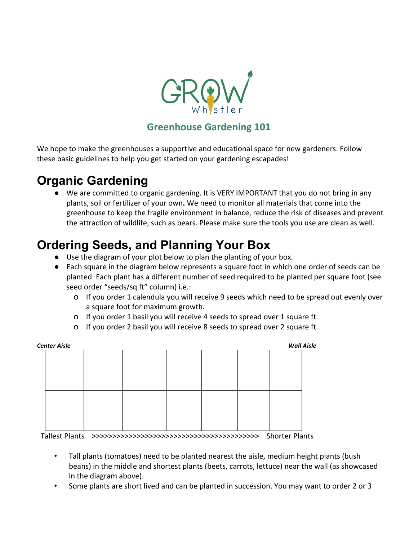

## **Greenhouse Gardening 101**

We hope to make the greenhouses a supportive and educational space for new gardeners. Follow these basic guidelines to help you get started on your gardening escapades!

## **Organic Gardening**

● We are committed to organic gardening. It is VERY IMPORTANT that you do not bring in any plants, soil or fertilizer of your own. We need to monitor all materials that come into the greenhouse to keep the fragile environment in balance, reduce the risk of diseases and prevent the attraction of wildlife, such as bears. Please make sure the tools you use are clean as well.

# **Ordering Seeds, and Planning Your Box**

- Use the diagram of your plot below to plan the planting of your box.
- Each square in the diagram below represents a square foot in which one order of seeds can be planted. Each plant has a different number of seed required to be planted per square foot (see seed order "seeds/sq ft" column) i.e.:
	- O If you order 1 calendula you will receive 9 seeds which need to be spread out evenly over a square foot for maximum growth.
	- O If you order 1 basil you will receive 4 seeds to spread over 1 square ft.
	- O If you order 2 basil you will receive 8 seeds to spread over 2 square ft.

| Center Aisle |  |  |  |  |  |  | <b>Wall Aisle</b> |  |
|--------------|--|--|--|--|--|--|-------------------|--|
|              |  |  |  |  |  |  |                   |  |
|              |  |  |  |  |  |  |                   |  |
|              |  |  |  |  |  |  |                   |  |
|              |  |  |  |  |  |  |                   |  |
|              |  |  |  |  |  |  |                   |  |
|              |  |  |  |  |  |  |                   |  |
|              |  |  |  |  |  |  |                   |  |
|              |  |  |  |  |  |  |                   |  |
|              |  |  |  |  |  |  |                   |  |

 Tallest Plants >>>>>>>>>>>>>>>>>>>>>>>>>>>>>>>>>>>>>>>>> Shorter Plants

- Tall plants (tomatoes) need to be planted nearest the aisle, medium height plants (bush beans) in the middle and shortest plants (beets, carrots, lettuce) near the wall (as showcased in the diagram above).
- Some plants are short lived and can be planted in succession. You may want to order 2 or 3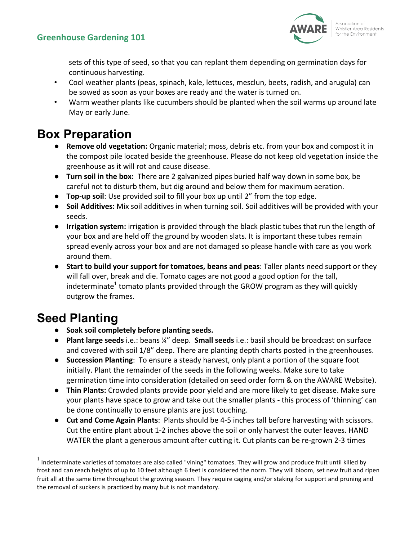

sets of this type of seed, so that you can replant them depending on germination days for continuous harvesting.

- Cool weather plants (peas, spinach, kale, lettuces, mesclun, beets, radish, and arugula) can be sowed as soon as your boxes are ready and the water is turned on.
- Warm weather plants like cucumbers should be planted when the soil warms up around late May or early June.

# **Box Preparation**

- **Remove old vegetation:** Organic material; moss, debris etc. from your box and compost it in the compost pile located beside the greenhouse. Please do not keep old vegetation inside the greenhouse as it will rot and cause disease.
- **Turn soil in the box:** There are 2 galvanized pipes buried half way down in some box, be careful not to disturb them, but dig around and below them for maximum aeration.
- **Top-up soil**: Use provided soil to fill your box up until 2" from the top edge.
- **Soil Additives:** Mix soil additives in when turning soil. Soil additives will be provided with your seeds.
- **Irrigation system:** irrigation is provided through the black plastic tubes that run the length of your box and are held off the ground by wooden slats. It is important these tubes remain spread evenly across your box and are not damaged so please handle with care as you work around them.
- **Start to build your support for tomatoes, beans and peas**: Taller plants need support or they will fall over, break and die. Tomato cages are not good a good option for the tall, indeterminate<sup>1</sup> tomato plants provided through the GROW program as they will quickly outgrow the frames.

# **Seed Planting**

- **Soak soil completely before planting seeds.**
- **Plant large seeds** i.e.: beans ¼" deep. **Small seeds** i.e.: basil should be broadcast on surface and covered with soil 1/8" deep. There are planting depth charts posted in the greenhouses.
- **Succession Planting**: To ensure a steady harvest, only plant a portion of the square foot initially. Plant the remainder of the seeds in the following weeks. Make sure to take germination time into consideration (detailed on seed order form & on the AWARE Website).
- **. Thin Plants:** Crowded plants provide poor yield and are more likely to get disease. Make sure your plants have space to grow and take out the smaller plants - this process of 'thinning' can be done continually to ensure plants are just touching.
- **Cut and Come Again Plants**: Plants should be 4-5 inches tall before harvesting with scissors. Cut the entire plant about 1-2 inches above the soil or only harvest the outer leaves. HAND WATER the plant a generous amount after cutting it. Cut plants can be re-grown 2-3 times

 $<sup>1</sup>$  Indeterminate varieties of tomatoes are also called "vining" tomatoes. They will grow and produce fruit until killed by</sup> frost and can reach heights of up to 10 feet although 6 feet is considered the norm. They will bloom, set new fruit and ripen fruit all at the same time throughout the growing season. They require caging and/or staking for support and pruning and the removal of suckers is practiced by many but is not mandatory.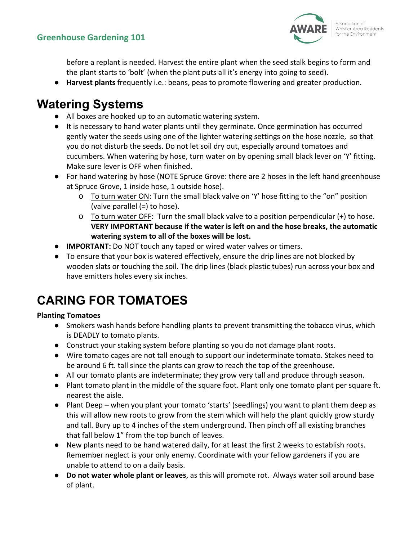

before a replant is needed. Harvest the entire plant when the seed stalk begins to form and the plant starts to 'bolt' (when the plant puts all it's energy into going to seed).

**.** Harvest plants frequently i.e.: beans, peas to promote flowering and greater production.

## **Watering Systems**

- All boxes are hooked up to an automatic watering system.
- It is necessary to hand water plants until they germinate. Once germination has occurred gently water the seeds using one of the lighter watering settings on the hose nozzle, so that you do not disturb the seeds. Do not let soil dry out, especially around tomatoes and cucumbers. When watering by hose, turn water on by opening small black lever on 'Y' fitting. Make sure lever is OFF when finished.
- For hand watering by hose (NOTE Spruce Grove: there are 2 hoses in the left hand greenhouse at Spruce Grove, 1 inside hose, 1 outside hose).
	- O To turn water ON: Turn the small black valve on 'Y' hose fitting to the "on" position (valve parallel  $(=)$  to hose).
	- O To turn water OFF: Turn the small black valve to a position perpendicular  $(+)$  to hose. **VERY IMPORTANT because if the water is left on and the hose breaks, the automatic** watering system to all of the boxes will be lost.
- **IMPORTANT:** Do NOT touch any taped or wired water valves or timers.
- To ensure that your box is watered effectively, ensure the drip lines are not blocked by wooden slats or touching the soil. The drip lines (black plastic tubes) run across your box and have emitters holes every six inches.

# **CARING FOR TOMATOES**

### **Planting Tomatoes**

- Smokers wash hands before handling plants to prevent transmitting the tobacco virus, which is DEADLY to tomato plants.
- Construct your staking system before planting so you do not damage plant roots.
- Wire tomato cages are not tall enough to support our indeterminate tomato. Stakes need to be around 6 ft. tall since the plants can grow to reach the top of the greenhouse.
- All our tomato plants are indeterminate; they grow very tall and produce through season.
- Plant tomato plant in the middle of the square foot. Plant only one tomato plant per square ft. nearest the aisle.
- Plant Deep when you plant your tomato 'starts' (seedlings) you want to plant them deep as this will allow new roots to grow from the stem which will help the plant quickly grow sturdy and tall. Bury up to 4 inches of the stem underground. Then pinch off all existing branches that fall below 1" from the top bunch of leaves.
- New plants need to be hand watered daily, for at least the first 2 weeks to establish roots. Remember neglect is your only enemy. Coordinate with your fellow gardeners if you are unable to attend to on a daily basis.
- **Do not water whole plant or leaves**, as this will promote rot. Always water soil around base of plant.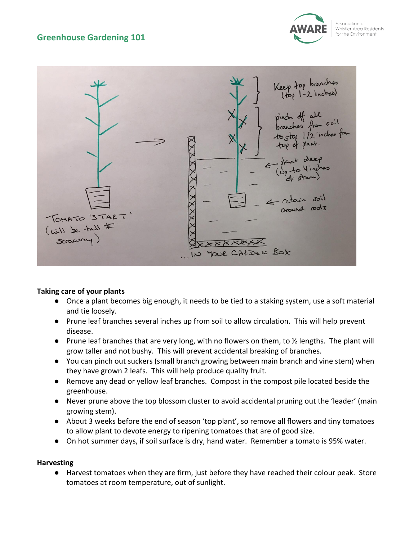### **Greenhouse Gardening 101**





#### **Taking care of your plants**

- Once a plant becomes big enough, it needs to be tied to a staking system, use a soft material and tie loosely.
- Prune leaf branches several inches up from soil to allow circulation. This will help prevent disease.
- Prune leaf branches that are very long, with no flowers on them, to ½ lengths. The plant will grow taller and not bushy. This will prevent accidental breaking of branches.
- You can pinch out suckers (small branch growing between main branch and vine stem) when they have grown 2 leafs. This will help produce quality fruit.
- Remove any dead or yellow leaf branches. Compost in the compost pile located beside the greenhouse.
- Never prune above the top blossom cluster to avoid accidental pruning out the 'leader' (main growing stem).
- About 3 weeks before the end of season 'top plant', so remove all flowers and tiny tomatoes to allow plant to devote energy to ripening tomatoes that are of good size.
- On hot summer days, if soil surface is dry, hand water. Remember a tomato is 95% water.

#### **Harvesting**

● Harvest tomatoes when they are firm, just before they have reached their colour peak. Store tomatoes at room temperature, out of sunlight.